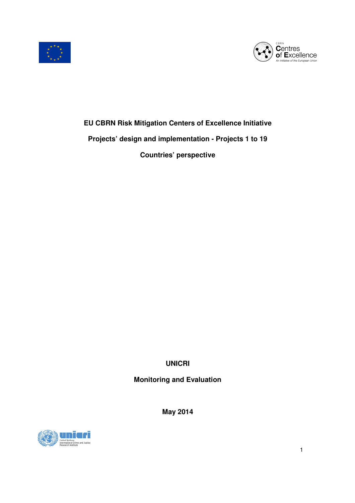



# **EU CBRN Risk Mitigation Centers of Excellence Initiative Projects' design and implementation - Projects 1 to 19**

**Countries' perspective** 

**UNICRI** 

# **Monitoring and Evaluation**

**May 2014** 

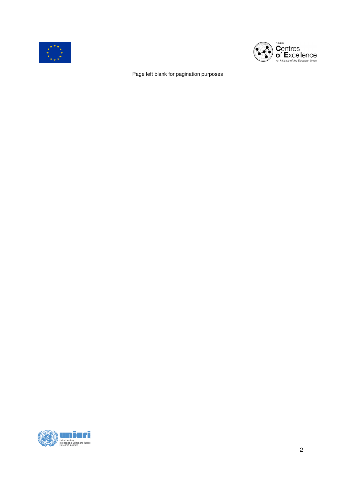



Page left blank for pagination purposes

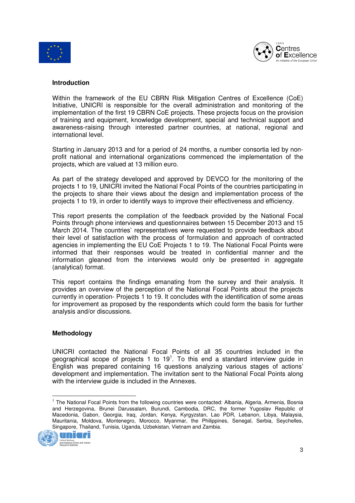



#### **Introduction**

Within the framework of the EU CBRN Risk Mitigation Centres of Excellence (CoE) Initiative, UNICRI is responsible for the overall administration and monitoring of the implementation of the first 19 CBRN CoE projects. These projects focus on the provision of training and equipment, knowledge development, special and technical support and awareness-raising through interested partner countries, at national, regional and international level.

Starting in January 2013 and for a period of 24 months, a number consortia led by nonprofit national and international organizations commenced the implementation of the projects, which are valued at 13 million euro.

As part of the strategy developed and approved by DEVCO for the monitoring of the projects 1 to 19, UNICRI invited the National Focal Points of the countries participating in the projects to share their views about the design and implementation process of the projects 1 to 19, in order to identify ways to improve their effectiveness and efficiency.

This report presents the compilation of the feedback provided by the National Focal Points through phone interviews and questionnaires between 15 December 2013 and 15 March 2014. The countries' representatives were requested to provide feedback about their level of satisfaction with the process of formulation and approach of contracted agencies in implementing the EU CoE Projects 1 to 19. The National Focal Points were informed that their responses would be treated in confidential manner and the information gleaned from the interviews would only be presented in aggregate (analytical) format.

This report contains the findings emanating from the survey and their analysis. It provides an overview of the perception of the National Focal Points about the projects currently in operation- Projects 1 to 19. It concludes with the identification of some areas for improvement as proposed by the respondents which could form the basis for further analysis and/or discussions.

#### **Methodology**

UNICRI contacted the National Focal Points of all 35 countries included in the geographical scope of projects 1 to 19<sup>1</sup>. To this end a standard interview guide in English was prepared containing 16 questions analyzing various stages of actions' development and implementation. The invitation sent to the National Focal Points along with the interview guide is included in the Annexes.

<sup>&</sup>lt;sup>1</sup> The National Focal Points from the following countries were contacted: Albania, Algeria, Armenia, Bosnia and Herzegovina, Brunei Darussalam, Burundi, Cambodia, DRC, the former Yugoslav Republic of Macedonia, Gabon, Georgia, Iraq, Jordan, Kenya, Kyrgyzstan, Lao PDR, Lebanon, Libya, Malaysia, Mauritania, Moldova, Montenegro, Morocco, Myanmar, the Philippines, Senegal, Serbia, Seychelles, Singapore, Thailand, Tunisia, Uganda, Uzbekistan, Vietnam and Zambia.



 $\overline{a}$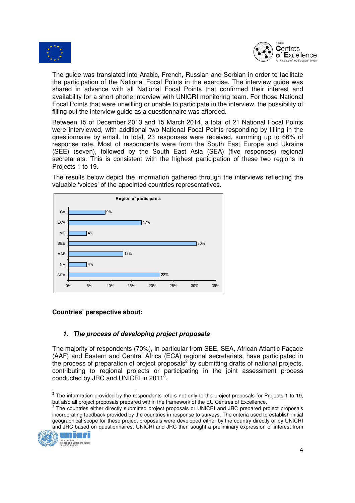



The guide was translated into Arabic, French, Russian and Serbian in order to facilitate the participation of the National Focal Points in the exercise. The interview guide was shared in advance with all National Focal Points that confirmed their interest and availability for a short phone interview with UNICRI monitoring team. For those National Focal Points that were unwilling or unable to participate in the interview, the possibility of filling out the interview guide as a questionnaire was afforded.

Between 15 of December 2013 and 15 March 2014, a total of 21 National Focal Points were interviewed, with additional two National Focal Points responding by filling in the questionnaire by email. In total, 23 responses were received, summing up to 66% of response rate. Most of respondents were from the South East Europe and Ukraine (SEE) (seven), followed by the South East Asia (SEA) (five responses) regional secretariats. This is consistent with the highest participation of these two regions in Projects 1 to 19.

The results below depict the information gathered through the interviews reflecting the valuable 'voices' of the appointed countries representatives.



#### **Countries' perspective about:**

#### **1. The process of developing project proposals**

The majority of respondents (70%), in particular from SEE, SEA, African Atlantic Façade (AAF) and Eastern and Central Africa (ECA) regional secretariats, have participated in the process of preparation of project proposals<sup>2</sup> by submitting drafts of national projects, contributing to regional projects or participating in the joint assessment process conducted by JRC and UNICRI in 2011<sup>3</sup> .

The countries either directly submitted project proposals or UNICRI and JRC prepared project proposals incorporating feedback provided by the countries in response to surveys. The criteria used to establish initial geographical scope for these project proposals were developed either by the country directly or by UNICRI and JRC based on questionnaires. UNICRI and JRC then sought a preliminary expression of interest from



 $\overline{a}$ 

 $^2$  The information provided by the respondents refers not only to the project proposals for Projects 1 to 19, but also all project proposals prepared within the framework of the EU Centres of Excellence.<br>3 The countries with a diseate pulsaith development are seek as UNIODL and JDO space and are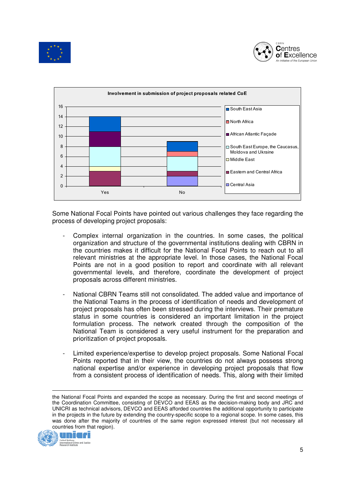





Some National Focal Points have pointed out various challenges they face regarding the process of developing project proposals:

- Complex internal organization in the countries. In some cases, the political organization and structure of the governmental institutions dealing with CBRN in the countries makes it difficult for the National Focal Points to reach out to all relevant ministries at the appropriate level. In those cases, the National Focal Points are not in a good position to report and coordinate with all relevant governmental levels, and therefore, coordinate the development of project proposals across different ministries.
- National CBRN Teams still not consolidated. The added value and importance of the National Teams in the process of identification of needs and development of project proposals has often been stressed during the interviews. Their premature status in some countries is considered an important limitation in the project formulation process. The network created through the composition of the National Team is considered a very useful instrument for the preparation and prioritization of project proposals.
- Limited experience/expertise to develop project proposals. Some National Focal Points reported that in their view, the countries do not always possess strong national expertise and/or experience in developing project proposals that flow from a consistent process of identification of needs. This, along with their limited

the National Focal Points and expanded the scope as necessary. During the first and second meetings of the Coordination Committee, consisting of DEVCO and EEAS as the decision-making body and JRC and UNICRI as technical advisors, DEVCO and EEAS afforded countries the additional opportunity to participate in the projects in the future by extending the country-specific scope to a regional scope. In some cases, this was done after the majority of countries of the same region expressed interest (but not necessary all countries from that region).

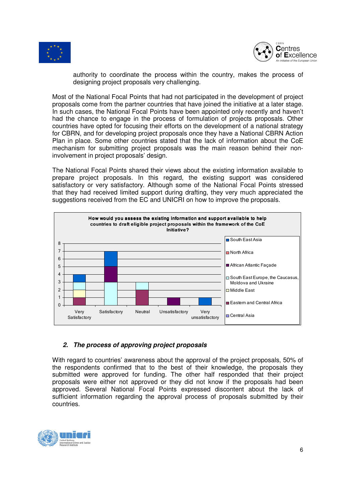



authority to coordinate the process within the country, makes the process of designing project proposals very challenging.

Most of the National Focal Points that had not participated in the development of project proposals come from the partner countries that have joined the initiative at a later stage. In such cases, the National Focal Points have been appointed only recently and haven't had the chance to engage in the process of formulation of projects proposals. Other countries have opted for focusing their efforts on the development of a national strategy for CBRN, and for developing project proposals once they have a National CBRN Action Plan in place. Some other countries stated that the lack of information about the CoE mechanism for submitting project proposals was the main reason behind their noninvolvement in project proposals' design.

The National Focal Points shared their views about the existing information available to prepare project proposals. In this regard, the existing support was considered satisfactory or very satisfactory. Although some of the National Focal Points stressed that they had received limited support during drafting, they very much appreciated the suggestions received from the EC and UNICRI on how to improve the proposals.



#### **2. The process of approving project proposals**

With regard to countries' awareness about the approval of the project proposals, 50% of the respondents confirmed that to the best of their knowledge, the proposals they submitted were approved for funding. The other half responded that their project proposals were either not approved or they did not know if the proposals had been approved. Several National Focal Points expressed discontent about the lack of sufficient information regarding the approval process of proposals submitted by their countries.

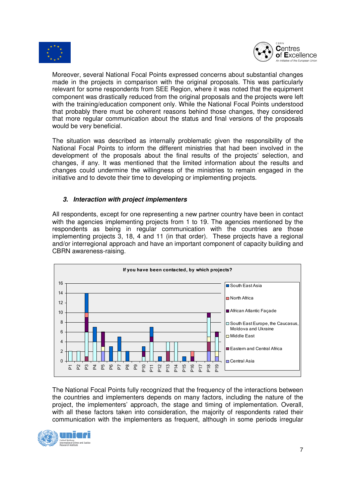



Moreover, several National Focal Points expressed concerns about substantial changes made in the projects in comparison with the original proposals. This was particularly relevant for some respondents from SEE Region, where it was noted that the equipment component was drastically reduced from the original proposals and the projects were left with the training/education component only. While the National Focal Points understood that probably there must be coherent reasons behind those changes, they considered that more regular communication about the status and final versions of the proposals would be very beneficial.

The situation was described as internally problematic given the responsibility of the National Focal Points to inform the different ministries that had been involved in the development of the proposals about the final results of the projects' selection, and changes, if any. It was mentioned that the limited information about the results and changes could undermine the willingness of the ministries to remain engaged in the initiative and to devote their time to developing or implementing projects.

## **3. Interaction with project implementers**

All respondents, except for one representing a new partner country have been in contact with the agencies implementing projects from 1 to 19. The agencies mentioned by the respondents as being in regular communication with the countries are those implementing projects 3, 18, 4 and 11 (in that order). These projects have a regional and/or interregional approach and have an important component of capacity building and CBRN awareness-raising.



The National Focal Points fully recognized that the frequency of the interactions between the countries and implementers depends on many factors, including the nature of the project, the implementers' approach, the stage and timing of implementation. Overall, with all these factors taken into consideration, the majority of respondents rated their communication with the implementers as frequent, although in some periods irregular

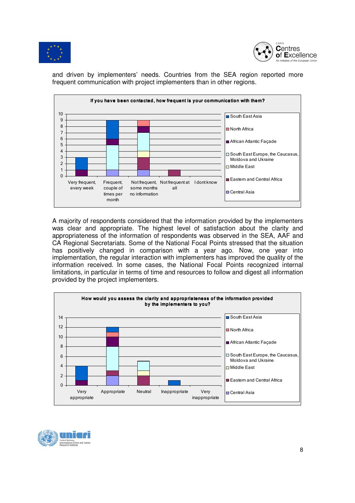



and driven by implementers' needs. Countries from the SEA region reported more frequent communication with project implementers than in other regions.



A majority of respondents considered that the information provided by the implementers was clear and appropriate. The highest level of satisfaction about the clarity and appropriateness of the information of respondents was observed in the SEA, AAF and CA Regional Secretariats. Some of the National Focal Points stressed that the situation has positively changed in comparison with a year ago. Now, one year into implementation, the regular interaction with implementers has improved the quality of the information received. In some cases, the National Focal Points recognized internal limitations, in particular in terms of time and resources to follow and digest all information provided by the project implementers.



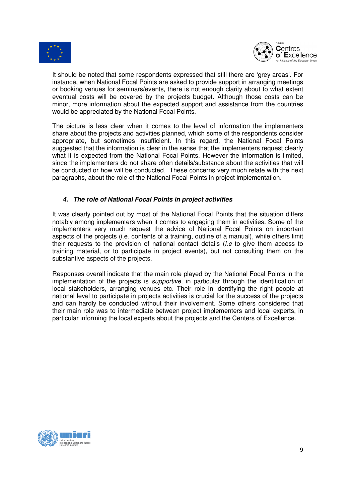



It should be noted that some respondents expressed that still there are 'grey areas'. For instance, when National Focal Points are asked to provide support in arranging meetings or booking venues for seminars/events, there is not enough clarity about to what extent eventual costs will be covered by the projects budget. Although those costs can be minor, more information about the expected support and assistance from the countries would be appreciated by the National Focal Points.

The picture is less clear when it comes to the level of information the implementers share about the projects and activities planned, which some of the respondents consider appropriate, but sometimes insufficient. In this regard, the National Focal Points suggested that the information is clear in the sense that the implementers request clearly what it is expected from the National Focal Points. However the information is limited, since the implementers do not share often details/substance about the activities that will be conducted or how will be conducted. These concerns very much relate with the next paragraphs, about the role of the National Focal Points in project implementation.

## **4. The role of National Focal Points in project activities**

It was clearly pointed out by most of the National Focal Points that the situation differs notably among implementers when it comes to engaging them in activities. Some of the implementers very much request the advice of National Focal Points on important aspects of the projects (i.e. contents of a training, outline of a manual), while others limit their requests to the provision of national contact details (i.e to give them access to training material, or to participate in project events), but not consulting them on the substantive aspects of the projects.

Responses overall indicate that the main role played by the National Focal Points in the implementation of the projects is *supportive*, in particular through the identification of local stakeholders, arranging venues etc. Their role in identifying the right people at national level to participate in projects activities is crucial for the success of the projects and can hardly be conducted without their involvement. Some others considered that their main role was to intermediate between project implementers and local experts, in particular informing the local experts about the projects and the Centers of Excellence.

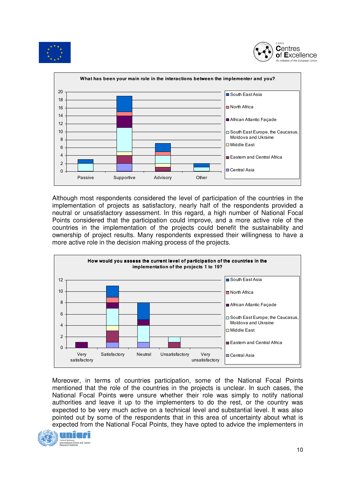





Although most respondents considered the level of participation of the countries in the implementation of projects as satisfactory, nearly half of the respondents provided a neutral or unsatisfactory assessment. In this regard, a high number of National Focal Points considered that the participation could improve, and a more active role of the countries in the implementation of the projects could benefit the sustainability and ownership of project results. Many respondents expressed their willingness to have a more active role in the decision making process of the projects.



Moreover, in terms of countries participation, some of the National Focal Points mentioned that the role of the countries in the projects is unclear. In such cases, the National Focal Points were unsure whether their role was simply to notify national authorities and leave it up to the implementers to do the rest, or the country was expected to be very much active on a technical level and substantial level. It was also pointed out by some of the respondents that in this area of uncertainty about what is expected from the National Focal Points, they have opted to advice the implementers in

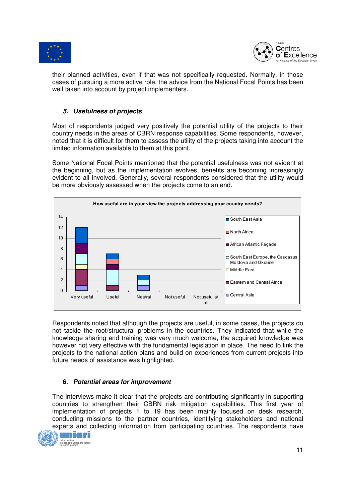



their planned activities, even if that was not specifically requested. Normally, in those cases of pursuing a more active role, the advice from the National Focal Points has been well taken into account by project implementers.

# **5. Usefulness of projects**

Most of respondents judged very positively the potential utility of the projects to their country needs in the areas of CBRN response capabilities. Some respondents, however, noted that it is difficult for them to assess the utility of the projects taking into account the limited information available to them at this point.

Some National Focal Points mentioned that the potential usefulness was not evident at the beginning, but as the implementation evolves, benefits are becoming increasingly evident to all involved. Generally, several respondents considered that the utility would be more obviously assessed when the projects come to an end.



Respondents noted that although the projects are useful, in some cases, the projects do not tackle the root/structural problems in the countries. They indicated that while the knowledge sharing and training was very much welcome, the acquired knowledge was however not very effective with the fundamental legislation in place. The need to link the projects to the national action plans and build on experiences from current projects into future needs of assistance was highlighted.

#### **6. Potential areas for improvement**

The interviews make it clear that the projects are contributing significantly in supporting countries to strengthen their CBRN risk mitigation capabilities. This first year of implementation of projects 1 to 19 has been mainly focused on desk research, conducting missions to the partner countries, identifying stakeholders and national experts and collecting information from participating countries. The respondents have

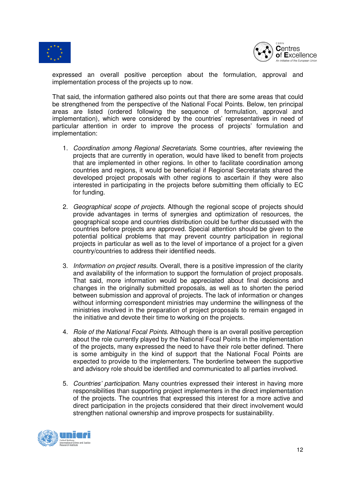



expressed an overall positive perception about the formulation, approval and implementation process of the projects up to now.

That said, the information gathered also points out that there are some areas that could be strengthened from the perspective of the National Focal Points. Below, ten principal areas are listed (ordered following the sequence of formulation, approval and implementation), which were considered by the countries' representatives in need of particular attention in order to improve the process of projects' formulation and implementation:

- 1. Coordination among Regional Secretariats. Some countries, after reviewing the projects that are currently in operation, would have liked to benefit from projects that are implemented in other regions. In other to facilitate coordination among countries and regions, it would be beneficial if Regional Secretariats shared the developed project proposals with other regions to ascertain if they were also interested in participating in the projects before submitting them officially to EC for funding.
- 2. Geographical scope of projects. Although the regional scope of projects should provide advantages in terms of synergies and optimization of resources, the geographical scope and countries distribution could be further discussed with the countries before projects are approved. Special attention should be given to the potential political problems that may prevent country participation in regional projects in particular as well as to the level of importance of a project for a given country/countries to address their identified needs.
- 3. Information on project results. Overall, there is a positive impression of the clarity and availability of the information to support the formulation of project proposals. That said, more information would be appreciated about final decisions and changes in the originally submitted proposals, as well as to shorten the period between submission and approval of projects. The lack of information or changes without informing correspondent ministries may undermine the willingness of the ministries involved in the preparation of project proposals to remain engaged in the initiative and devote their time to working on the projects.
- 4. Role of the National Focal Points. Although there is an overall positive perception about the role currently played by the National Focal Points in the implementation of the projects, many expressed the need to have their role better defined. There is some ambiguity in the kind of support that the National Focal Points are expected to provide to the implementers. The borderline between the supportive and advisory role should be identified and communicated to all parties involved.
- 5. Countries' participation. Many countries expressed their interest in having more responsibilities than supporting project implementers in the direct implementation of the projects. The countries that expressed this interest for a more active and direct participation in the projects considered that their direct involvement would strengthen national ownership and improve prospects for sustainability.